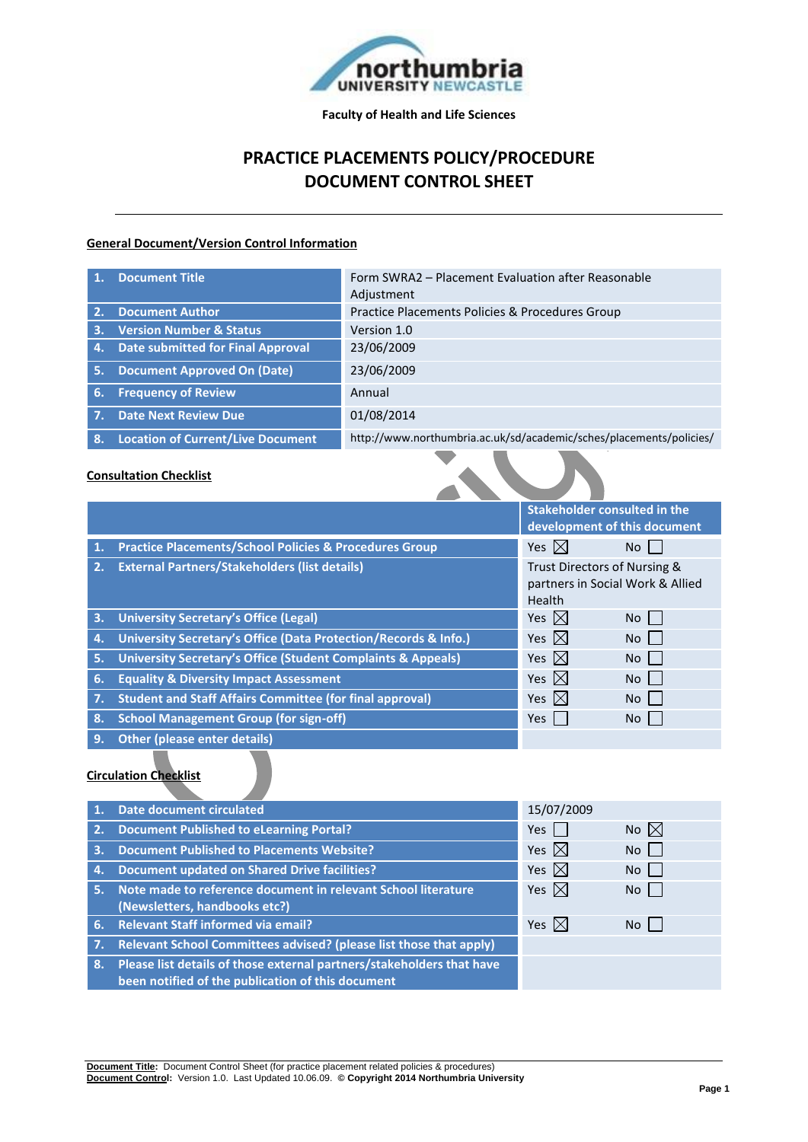

**Faculty of Health and Life Sciences**

## **PRACTICE PLACEMENTS POLICY/PROCEDURE DOCUMENT CONTROL SHEET**

#### **General Document/Version Control Information**

|     | <b>Document Title</b>                    | Form SWRA2 – Placement Evaluation after Reasonable<br>Adjustment    |
|-----|------------------------------------------|---------------------------------------------------------------------|
| 2.  | <b>Document Author</b>                   | Practice Placements Policies & Procedures Group                     |
| 3.  | <b>Version Number &amp; Status</b>       | Version 1.0                                                         |
| 4.  | <b>Date submitted for Final Approval</b> | 23/06/2009                                                          |
| -5. | <b>Document Approved On (Date)</b>       | 23/06/2009                                                          |
| -6. | <b>Frequency of Review</b>               | Annual                                                              |
|     | <b>Date Next Review Due</b>              | 01/08/2014                                                          |
| -8. | <b>Location of Current/Live Document</b> | http://www.northumbria.ac.uk/sd/academic/sches/placements/policies/ |

### **Consultation Checklist**

|                                                                                                                  |                                                                         | Stakeholder consulted in the<br>development of this document               |                |
|------------------------------------------------------------------------------------------------------------------|-------------------------------------------------------------------------|----------------------------------------------------------------------------|----------------|
| 1.                                                                                                               | <b>Practice Placements/School Policies &amp; Procedures Group</b>       | Yes $\boxtimes$                                                            | No.            |
| 2.                                                                                                               | <b>External Partners/Stakeholders (list details)</b>                    | Trust Directors of Nursing &<br>partners in Social Work & Allied<br>Health |                |
| 3.                                                                                                               | <b>University Secretary's Office (Legal)</b>                            | Yes $\boxtimes$                                                            | No.            |
| 4.                                                                                                               | University Secretary's Office (Data Protection/Records & Info.)         | Yes $\boxtimes$                                                            | N <sub>o</sub> |
| 5.                                                                                                               | <b>University Secretary's Office (Student Complaints &amp; Appeals)</b> | Yes $\boxtimes$                                                            | No             |
| 6.                                                                                                               | <b>Equality &amp; Diversity Impact Assessment</b>                       | Yes $\boxtimes$                                                            | No             |
| 7.                                                                                                               | <b>Student and Staff Affairs Committee (for final approval)</b>         | Yes $\boxtimes$                                                            | No             |
| 8.                                                                                                               | <b>School Management Group (for sign-off)</b>                           | Yes                                                                        | No             |
| 9.                                                                                                               | <b>Other (please enter details)</b>                                     |                                                                            |                |
| and the second control of the second second to the second second to the second terms of the second second terms. |                                                                         |                                                                            |                |

#### **Circulation Checklist**

|    | <b>Date document circulated</b>                                       | 15/07/2009      |                |
|----|-----------------------------------------------------------------------|-----------------|----------------|
| 2. | <b>Document Published to eLearning Portal?</b>                        | Yes             | No $\boxtimes$ |
| 3. | <b>Document Published to Placements Website?</b>                      | Yes $\boxtimes$ | No l           |
| 4. | <b>Document updated on Shared Drive facilities?</b>                   | Yes $\boxtimes$ | No I           |
| 5. | Note made to reference document in relevant School literature         | Yes $\boxtimes$ | No             |
|    | (Newsletters, handbooks etc?)                                         |                 |                |
|    | 6. Relevant Staff informed via email?                                 | Yes $\boxtimes$ | No             |
|    | Relevant School Committees advised? (please list those that apply)    |                 |                |
| 8. | Please list details of those external partners/stakeholders that have |                 |                |
|    | been notified of the publication of this document                     |                 |                |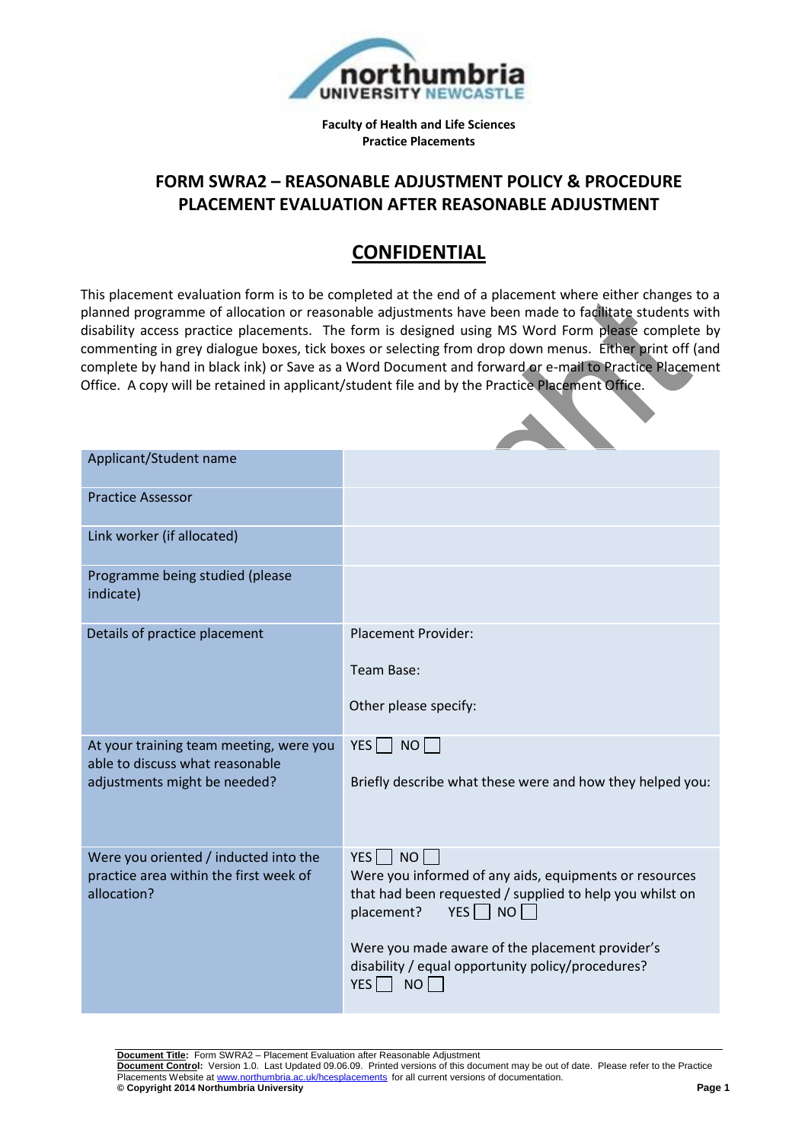

**Faculty of Health and Life Sciences Practice Placements**

### **FORM SWRA2 – REASONABLE ADJUSTMENT POLICY & PROCEDURE PLACEMENT EVALUATION AFTER REASONABLE ADJUSTMENT**

# **CONFIDENTIAL**

This placement evaluation form is to be completed at the end of a placement where either changes to a planned programme of allocation or reasonable adjustments have been made to facilitate students with disability access practice placements. The form is designed using MS Word Form please complete by commenting in grey dialogue boxes, tick boxes or selecting from drop down menus. Either print off (and complete by hand in black ink) or Save as a Word Document and forward or e-mail to Practice Placement Office. A copy will be retained in applicant/student file and by the Practice Placement Office.

| Applicant/Student name                                                          |                                                                                                                                |
|---------------------------------------------------------------------------------|--------------------------------------------------------------------------------------------------------------------------------|
| <b>Practice Assessor</b>                                                        |                                                                                                                                |
| Link worker (if allocated)                                                      |                                                                                                                                |
| Programme being studied (please<br>indicate)                                    |                                                                                                                                |
| Details of practice placement                                                   | <b>Placement Provider:</b>                                                                                                     |
|                                                                                 | Team Base:                                                                                                                     |
|                                                                                 | Other please specify:                                                                                                          |
| At your training team meeting, were you<br>able to discuss what reasonable      | $YES \nightharpoonup NO$                                                                                                       |
| adjustments might be needed?                                                    | Briefly describe what these were and how they helped you:                                                                      |
| Were you oriented / inducted into the<br>practice area within the first week of | NO<br>$YES$    <br>Were you informed of any aids, equipments or resources                                                      |
| allocation?                                                                     | that had been requested / supplied to help you whilst on<br>$YES \Box NO \Box$<br>placement?                                   |
|                                                                                 | Were you made aware of the placement provider's<br>disability / equal opportunity policy/procedures?<br>$YES$    <br><b>NO</b> |

**Document Title:** Form SWRA2 – Placement Evaluation after Reasonable Adjustment

**Document Control:** Version 1.0. Last Updated 09.06.09. Printed versions of this document may be out of date. Please refer to the Practice Placements Website at www.northumbria.ac.uk/hcesplacements for all current versions of documentation.